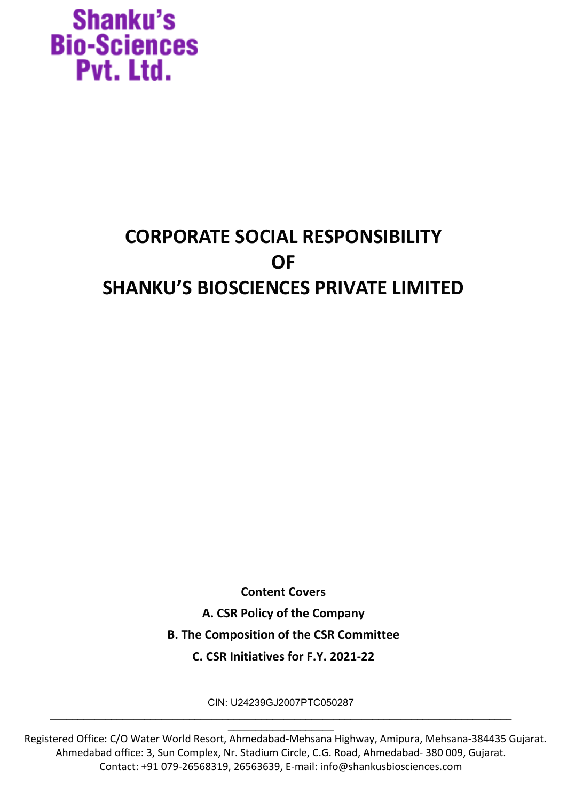### **CORPORATE SOCIAL RESPONSIBILITY OF SHANKU'S BIOSCIENCES PRIVATE LIMITED**

**Content Covers A. CSR Policy of the Company B. The Composition of the CSR Committee C. CSR Initiatives for F.Y. 2021-22**

CIN: U24239GJ2007PTC050287

\_\_\_\_\_\_\_\_\_\_\_\_\_\_\_\_\_\_\_\_\_\_\_\_\_\_\_\_\_\_\_\_\_\_\_\_\_\_\_\_\_\_\_\_\_\_\_\_\_\_\_\_\_\_\_\_\_\_\_\_\_\_\_\_\_\_\_\_\_\_\_\_\_\_\_\_\_\_\_\_\_\_\_  $\overline{\phantom{a}}$  , which is a set of the set of the set of the set of the set of the set of the set of the set of the set of the set of the set of the set of the set of the set of the set of the set of the set of the set of th

Registered Office: C/O Water World Resort, Ahmedabad-Mehsana Highway, Amipura, Mehsana-384435 Gujarat. Ahmedabad office: 3, Sun Complex, Nr. Stadium Circle, C.G. Road, Ahmedabad- 380 009, Gujarat. Contact: +91 079-26568319, 26563639, E-mail: info@shankusbiosciences.com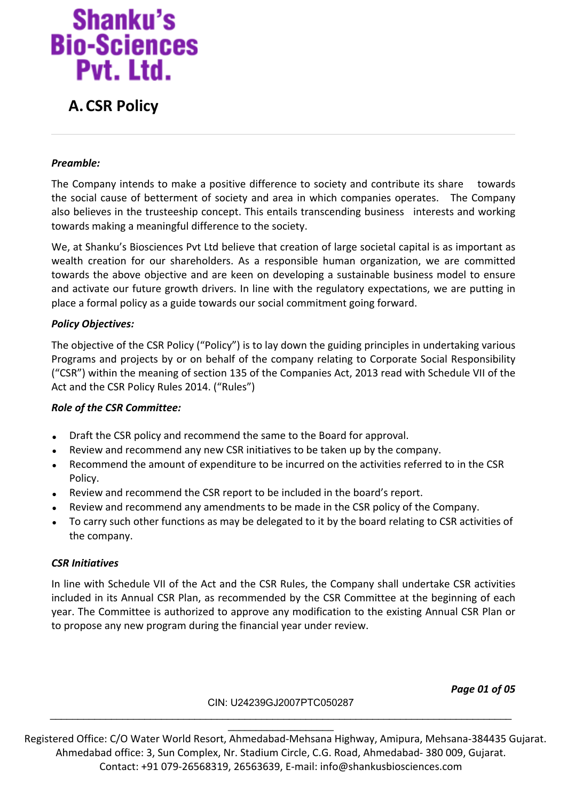### **A.CSR Policy**

### *Preamble:*

The Company intends to make a positive difference to society and contribute its share towards the social cause of betterment of society and area in which companies operates. The Company also believes in the trusteeship concept. This entails transcending business interests and working towards making a meaningful difference to the society.

We, at Shanku's Biosciences Pvt Ltd believe that creation of large societal capital is as important as wealth creation for our shareholders. As a responsible human organization, we are committed towards the above objective and are keen on developing a sustainable business model to ensure and activate our future growth drivers. In line with the regulatory expectations, we are putting in place a formal policy as a guide towards our social commitment going forward.

### *Policy Objectives:*

The objective of the CSR Policy ("Policy") is to lay down the guiding principles in undertaking various Programs and projects by or on behalf of the company relating to Corporate Social Responsibility ("CSR") within the meaning of section 135 of the Companies Act, 2013 read with Schedule VII of the Act and the CSR Policy Rules 2014. ("Rules")

#### *Role of the CSR Committee:*

- Draft the CSR policy and recommend the same to the Board for approval.
- Review and recommend any new CSR initiatives to be taken up by the company.
- Recommend the amount of expenditure to be incurred on the activities referred to in the CSR Policy.
- Review and recommend the CSR report to be included in the board's report.
- Review and recommend any amendments to be made in the CSR policy of the Company.
- To carry such other functions as may be delegated to it by the board relating to CSR activities of the company.

#### *CSR Initiatives*

In line with Schedule VII of the Act and the CSR Rules, the Company shall undertake CSR activities included in its Annual CSR Plan, as recommended by the CSR Committee at the beginning of each year. The Committee is authorized to approve any modification to the existing Annual CSR Plan or to propose any new program during the financial year under review.

*Page 01 of 05*

#### CIN: U24239GJ2007PTC050287

Registered Office: C/O Water World Resort, Ahmedabad-Mehsana Highway, Amipura, Mehsana-384435 Gujarat. Ahmedabad office: 3, Sun Complex, Nr. Stadium Circle, C.G. Road, Ahmedabad- 380 009, Gujarat. Contact: +91 079-26568319, 26563639, E-mail: info@shankusbiosciences.com

\_\_\_\_\_\_\_\_\_\_\_\_\_\_\_\_\_\_\_\_\_\_\_\_\_\_\_\_\_\_\_\_\_\_\_\_\_\_\_\_\_\_\_\_\_\_\_\_\_\_\_\_\_\_\_\_\_\_\_\_\_\_\_\_\_\_\_\_\_\_\_\_\_\_\_\_\_\_\_\_\_\_\_  $\overline{\phantom{a}}$  , which is a set of the set of the set of the set of the set of the set of the set of the set of the set of the set of the set of the set of the set of the set of the set of the set of the set of the set of th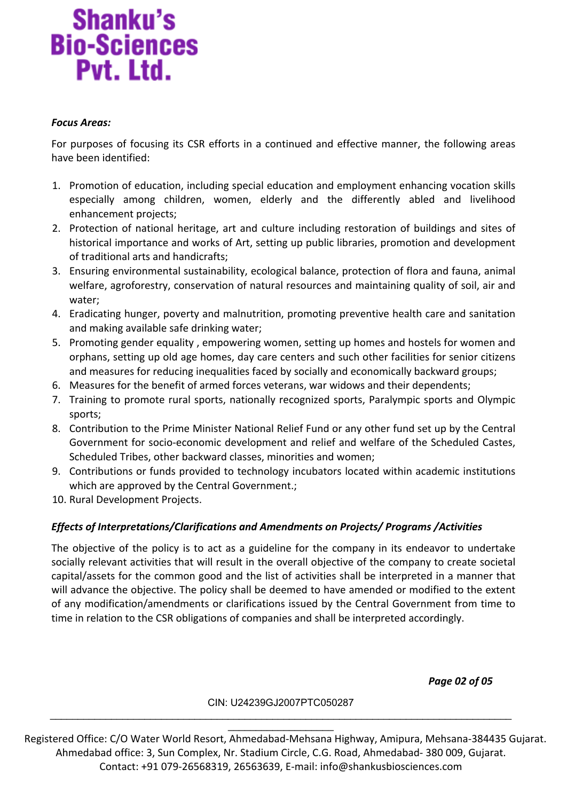#### *Focus Areas:*

For purposes of focusing its CSR efforts in a continued and effective manner, the following areas have been identified:

- 1. Promotion of education, including special education and employment enhancing vocation skills especially among children, women, elderly and the differently abled and livelihood enhancement projects;
- 2. Protection of national heritage, art and culture including restoration of buildings and sites of historical importance and works of Art, setting up public libraries, promotion and development of traditional arts and handicrafts;
- 3. Ensuring environmental sustainability, ecological balance, protection of flora and fauna, animal welfare, agroforestry, conservation of natural resources and maintaining quality of soil, air and water;
- 4. Eradicating hunger, poverty and malnutrition, promoting preventive health care and sanitation and making available safe drinking water;
- 5. Promoting gender equality , empowering women, setting up homes and hostels for women and orphans, setting up old age homes, day care centers and such other facilities for senior citizens and measures for reducing inequalities faced by socially and economically backward groups;
- 6. Measures for the benefit of armed forces veterans, war widows and their dependents;
- 7. Training to promote rural sports, nationally recognized sports, Paralympic sports and Olympic sports;
- 8. Contribution to the Prime Minister National Relief Fund or any other fund set up by the Central Government for socio-economic development and relief and welfare of the Scheduled Castes, Scheduled Tribes, other backward classes, minorities and women;
- 9. Contributions or funds provided to technology incubators located within academic institutions which are approved by the Central Government.;
- 10. Rural Development Projects.

### *Effects of Interpretations/Clarifications and Amendments on Projects/ Programs /Activities*

The objective of the policy is to act as a guideline for the company in its endeavor to undertake socially relevant activities that will result in the overall objective of the company to create societal capital/assets for the common good and the list of activities shall be interpreted in a manner that will advance the objective. The policy shall be deemed to have amended or modified to the extent of any modification/amendments or clarifications issued by the Central Government from time to time in relation to the CSR obligations of companies and shall be interpreted accordingly.

*Page 02 of 05*

#### CIN: U24239GJ2007PTC050287

Registered Office: C/O Water World Resort, Ahmedabad-Mehsana Highway, Amipura, Mehsana-384435 Gujarat. Ahmedabad office: 3, Sun Complex, Nr. Stadium Circle, C.G. Road, Ahmedabad- 380 009, Gujarat. Contact: +91 079-26568319, 26563639, E-mail: info@shankusbiosciences.com

\_\_\_\_\_\_\_\_\_\_\_\_\_\_\_\_\_\_\_\_\_\_\_\_\_\_\_\_\_\_\_\_\_\_\_\_\_\_\_\_\_\_\_\_\_\_\_\_\_\_\_\_\_\_\_\_\_\_\_\_\_\_\_\_\_\_\_\_\_\_\_\_\_\_\_\_\_\_\_\_\_\_\_  $\overline{\phantom{a}}$  , which is a set of the set of the set of the set of the set of the set of the set of the set of the set of the set of the set of the set of the set of the set of the set of the set of the set of the set of th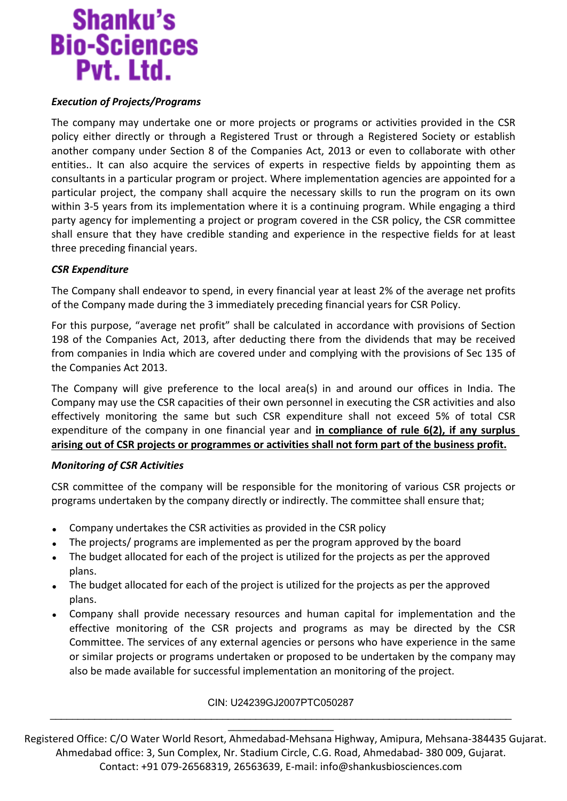### *Execution of Projects/Programs*

The company may undertake one or more projects or programs or activities provided in the CSR policy either directly or through a Registered Trust or through a Registered Society or establish another company under Section 8 of the Companies Act, 2013 or even to collaborate with other entities.. It can also acquire the services of experts in respective fields by appointing them as consultants in a particular program or project. Where implementation agencies are appointed for a particular project, the company shall acquire the necessary skills to run the program on its own within 3-5 years from its implementation where it is a continuing program. While engaging a third party agency for implementing a project or program covered in the CSR policy, the CSR committee shall ensure that they have credible standing and experience in the respective fields for at least three preceding financial years.

### *CSR Expenditure*

The Company shall endeavor to spend, in every financial year at least 2% of the average net profits of the Company made during the 3 immediately preceding financial years for CSR Policy.

For this purpose, "average net profit" shall be calculated in accordance with provisions of Section 198 of the Companies Act, 2013, after deducting there from the dividends that may be received from companies in India which are covered under and complying with the provisions of Sec 135 of the Companies Act 2013.

The Company will give preference to the local area(s) in and around our offices in India. The Company may use the CSR capacities of their own personnel in executing the CSR activities and also effectively monitoring the same but such CSR expenditure shall not exceed 5% of total CSR expenditure of the company in one financial year and **in compliance of rule 6(2), if any surplus arising out of CSR projects or programmes or activities shall not form part of the business profit.**

### *Monitoring of CSR Activities*

CSR committee of the company will be responsible for the monitoring of various CSR projects or programs undertaken by the company directly or indirectly. The committee shall ensure that;

- Company undertakes the CSR activities as provided in the CSR policy
- The projects/ programs are implemented as per the program approved by the board
- The budget allocated for each of the project is utilized for the projects as per the approved plans.
- The budget allocated for each of the project is utilized for the projects as per the approved plans.
- Company shall provide necessary resources and human capital for implementation and the effective monitoring of the CSR projects and programs as may be directed by the CSR Committee. The services of any external agencies or persons who have experience in the same or similar projects or programs undertaken or proposed to be undertaken by the company may also be made available for successful implementation an monitoring of the project.

### CIN: U24239GJ2007PTC050287

Registered Office: C/O Water World Resort, Ahmedabad-Mehsana Highway, Amipura, Mehsana-384435 Gujarat. Ahmedabad office: 3, Sun Complex, Nr. Stadium Circle, C.G. Road, Ahmedabad- 380 009, Gujarat. Contact: +91 079-26568319, 26563639, E-mail: info@shankusbiosciences.com

\_\_\_\_\_\_\_\_\_\_\_\_\_\_\_\_\_\_\_\_\_\_\_\_\_\_\_\_\_\_\_\_\_\_\_\_\_\_\_\_\_\_\_\_\_\_\_\_\_\_\_\_\_\_\_\_\_\_\_\_\_\_\_\_\_\_\_\_\_\_\_\_\_\_\_\_\_\_\_\_\_\_\_  $\overline{\phantom{a}}$  , which is a set of the set of the set of the set of the set of the set of the set of the set of the set of the set of the set of the set of the set of the set of the set of the set of the set of the set of th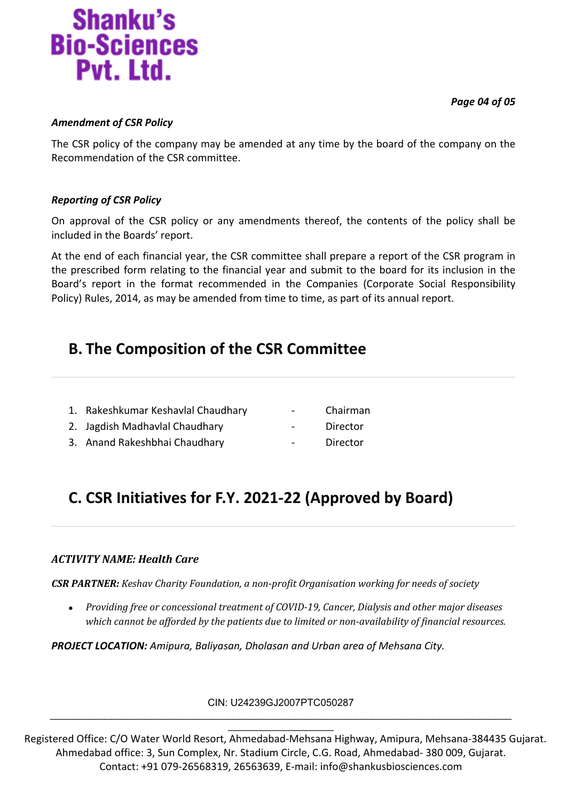*Page 04 of 05*

# **Shanku's Bio-Sciences** Pvt. Ltd.

### *Amendment of CSR Policy*

The CSR policy of the company may be amended at any time by the board of the company on the Recommendation of the CSR committee.

### *Reporting of CSR Policy*

On approval of the CSR policy or any amendments thereof, the contents of the policy shall be included in the Boards' report.

At the end of each financial year, the CSR committee shall prepare a report of the CSR program in the prescribed form relating to the financial year and submit to the board for its inclusion in the Board's report in the format recommended in the Companies (Corporate Social Responsibility Policy) Rules, 2014, as may be amended from time to time, as part of its annual report.

### **B. The Composition of the CSR Committee**

- 1. Rakeshkumar Keshavlal Chaudhary Chairman
- 2. Jagdish Madhavlal Chaudhary **Face Contract Contract** Point Director
- 3. Anand Rakeshbhai Chaudhary Director
- 
- 
- 

### **C. CSR Initiatives for F.Y. 2021-22 (Approved by Board)**

### *ACTIVITY NAME: Health Care*

*CSR PARTNER: Keshav Charity Foundation, a non-profit Organisation working for needs of society*

 *Providing free or concessional treatment of COVID-19, Cancer, Dialysis and other major diseases which cannot be afforded by the patients due to limited or non-availability of financial resources.* 

*PROJECT LOCATION: Amipura, Baliyasan, Dholasan and Urban area of Mehsana City.*

CIN: U24239GJ2007PTC050287

 $\overline{\phantom{a}}$  , which is a set of the set of the set of the set of the set of the set of the set of the set of the set of the set of the set of the set of the set of the set of the set of the set of the set of the set of th Registered Office: C/O Water World Resort, Ahmedabad-Mehsana Highway, Amipura, Mehsana-384435 Gujarat. Ahmedabad office: 3, Sun Complex, Nr. Stadium Circle, C.G. Road, Ahmedabad- 380 009, Gujarat. Contact: +91 079-26568319, 26563639, E-mail: info@shankusbiosciences.com

\_\_\_\_\_\_\_\_\_\_\_\_\_\_\_\_\_\_\_\_\_\_\_\_\_\_\_\_\_\_\_\_\_\_\_\_\_\_\_\_\_\_\_\_\_\_\_\_\_\_\_\_\_\_\_\_\_\_\_\_\_\_\_\_\_\_\_\_\_\_\_\_\_\_\_\_\_\_\_\_\_\_\_